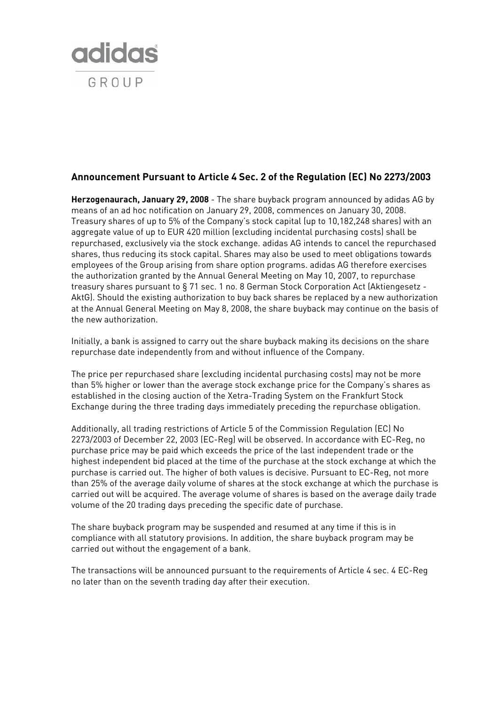

## **Announcement Pursuant to Article 4 Sec. 2 of the Regulation (EC) No 2273/2003**

**Herzogenaurach, January 29, 2008** - The share buyback program announced by adidas AG by means of an ad hoc notification on January 29, 2008, commences on January 30, 2008. Treasury shares of up to 5% of the Company's stock capital (up to 10,182,248 shares) with an aggregate value of up to EUR 420 million (excluding incidental purchasing costs) shall be repurchased, exclusively via the stock exchange. adidas AG intends to cancel the repurchased shares, thus reducing its stock capital. Shares may also be used to meet obligations towards employees of the Group arising from share option programs. adidas AG therefore exercises the authorization granted by the Annual General Meeting on May 10, 2007, to repurchase treasury shares pursuant to § 71 sec. 1 no. 8 German Stock Corporation Act (Aktiengesetz - AktG). Should the existing authorization to buy back shares be replaced by a new authorization at the Annual General Meeting on May 8, 2008, the share buyback may continue on the basis of the new authorization.

Initially, a bank is assigned to carry out the share buyback making its decisions on the share repurchase date independently from and without influence of the Company.

The price per repurchased share (excluding incidental purchasing costs) may not be more than 5% higher or lower than the average stock exchange price for the Company's shares as established in the closing auction of the Xetra-Trading System on the Frankfurt Stock Exchange during the three trading days immediately preceding the repurchase obligation.

Additionally, all trading restrictions of Article 5 of the Commission Regulation (EC) No 2273/2003 of December 22, 2003 (EC-Reg) will be observed. In accordance with EC-Reg, no purchase price may be paid which exceeds the price of the last independent trade or the highest independent bid placed at the time of the purchase at the stock exchange at which the purchase is carried out. The higher of both values is decisive. Pursuant to EC-Reg, not more than 25% of the average daily volume of shares at the stock exchange at which the purchase is carried out will be acquired. The average volume of shares is based on the average daily trade volume of the 20 trading days preceding the specific date of purchase.

The share buyback program may be suspended and resumed at any time if this is in compliance with all statutory provisions. In addition, the share buyback program may be carried out without the engagement of a bank.

The transactions will be announced pursuant to the requirements of Article 4 sec. 4 EC-Reg no later than on the seventh trading day after their execution.